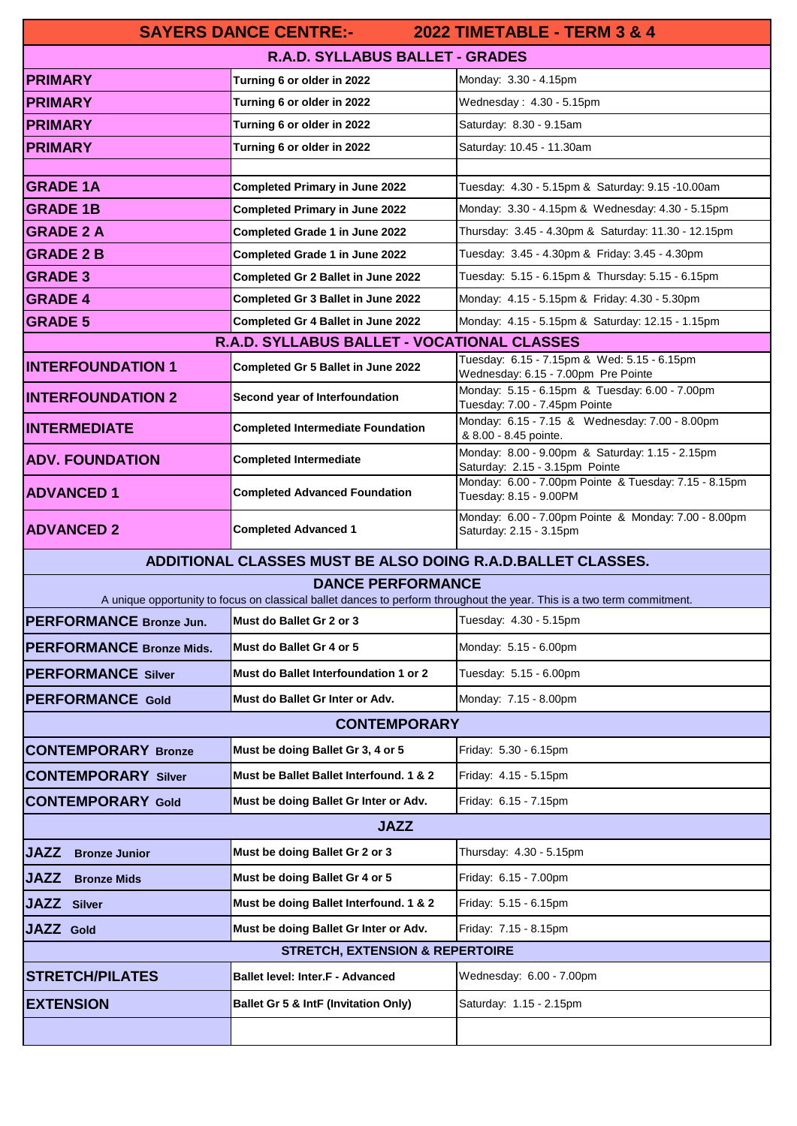| <b>2022 TIMETABLE - TERM 3 &amp; 4</b><br><b>SAYERS DANCE CENTRE:-</b> |                                                                                |                                                                                                                         |  |
|------------------------------------------------------------------------|--------------------------------------------------------------------------------|-------------------------------------------------------------------------------------------------------------------------|--|
| R.A.D. SYLLABUS BALLET - GRADES                                        |                                                                                |                                                                                                                         |  |
| <b>PRIMARY</b>                                                         | Turning 6 or older in 2022                                                     | Monday: 3.30 - 4.15pm                                                                                                   |  |
| <b>PRIMARY</b>                                                         | Turning 6 or older in 2022                                                     | Wednesday: $4.30 - 5.15$ pm                                                                                             |  |
| <b>PRIMARY</b>                                                         | Turning 6 or older in 2022                                                     | Saturday: 8.30 - 9.15am                                                                                                 |  |
| <b>PRIMARY</b>                                                         | Turning 6 or older in 2022                                                     | Saturday: 10.45 - 11.30am                                                                                               |  |
|                                                                        |                                                                                |                                                                                                                         |  |
| <b>GRADE 1A</b><br><b>GRADE 1B</b>                                     | <b>Completed Primary in June 2022</b><br><b>Completed Primary in June 2022</b> | Tuesday: 4.30 - 5.15pm & Saturday: 9.15 -10.00am                                                                        |  |
| <b>GRADE 2 A</b>                                                       | Completed Grade 1 in June 2022                                                 | Monday: 3.30 - 4.15pm & Wednesday: 4.30 - 5.15pm<br>Thursday: 3.45 - 4.30pm & Saturday: 11.30 - 12.15pm                 |  |
| <b>GRADE 2 B</b>                                                       | Completed Grade 1 in June 2022                                                 | Tuesday: 3.45 - 4.30pm & Friday: 3.45 - 4.30pm                                                                          |  |
| <b>GRADE 3</b>                                                         | Completed Gr 2 Ballet in June 2022                                             | Tuesday: 5.15 - 6.15pm & Thursday: 5.15 - 6.15pm                                                                        |  |
| <b>GRADE 4</b>                                                         | <b>Completed Gr 3 Ballet in June 2022</b>                                      | Monday: 4.15 - 5.15pm & Friday: 4.30 - 5.30pm                                                                           |  |
| <b>GRADE 5</b>                                                         | Completed Gr 4 Ballet in June 2022                                             | Monday: 4.15 - 5.15pm & Saturday: 12.15 - 1.15pm                                                                        |  |
| R.A.D. SYLLABUS BALLET - VOCATIONAL CLASSES                            |                                                                                |                                                                                                                         |  |
| <b>INTERFOUNDATION 1</b>                                               | Completed Gr 5 Ballet in June 2022                                             | Tuesday: 6.15 - 7.15pm & Wed: 5.15 - 6.15pm<br>Wednesday: 6.15 - 7.00pm Pre Pointe                                      |  |
| <b>INTERFOUNDATION 2</b>                                               | Second year of Interfoundation                                                 | Monday: 5.15 - 6.15pm & Tuesday: 6.00 - 7.00pm<br>Tuesday: 7.00 - 7.45pm Pointe                                         |  |
| <b>INTERMEDIATE</b>                                                    | <b>Completed Intermediate Foundation</b>                                       | Monday: 6.15 - 7.15 & Wednesday: 7.00 - 8.00pm<br>& 8.00 - 8.45 pointe.                                                 |  |
| <b>ADV. FOUNDATION</b>                                                 | <b>Completed Intermediate</b>                                                  | Monday: 8.00 - 9.00pm & Saturday: 1.15 - 2.15pm<br>Saturday: 2.15 - 3.15pm Pointe                                       |  |
| <b>ADVANCED 1</b>                                                      | <b>Completed Advanced Foundation</b>                                           | Monday: 6.00 - 7.00pm Pointe & Tuesday: 7.15 - 8.15pm<br>Tuesday: 8.15 - 9.00PM                                         |  |
| <b>ADVANCED 2</b>                                                      | <b>Completed Advanced 1</b>                                                    | Monday: 6.00 - 7.00pm Pointe & Monday: 7.00 - 8.00pm<br>Saturday: 2.15 - 3.15pm                                         |  |
| ADDITIONAL CLASSES MUST BE ALSO DOING R.A.D.BALLET CLASSES.            |                                                                                |                                                                                                                         |  |
| <b>DANCE PERFORMANCE</b>                                               |                                                                                |                                                                                                                         |  |
| PERFORMANCE Bronze Jun.                                                | Must do Ballet Gr 2 or 3 Tuesday: 4.30 - 5.15pm                                | A unique opportunity to focus on classical ballet dances to perform throughout the year. This is a two term commitment. |  |
|                                                                        |                                                                                |                                                                                                                         |  |
| <b>PERFORMANCE Bronze Mids.</b>                                        | Must do Ballet Gr 4 or 5                                                       | Monday: 5.15 - 6.00pm                                                                                                   |  |
| <b>PERFORMANCE Silver</b>                                              | Must do Ballet Interfoundation 1 or 2                                          | Tuesday: 5.15 - 6.00pm                                                                                                  |  |
| <b>PERFORMANCE Gold</b>                                                | Must do Ballet Gr Inter or Adv.                                                | Monday: 7.15 - 8.00pm                                                                                                   |  |
| <b>CONTEMPORARY</b>                                                    |                                                                                |                                                                                                                         |  |
| <b>CONTEMPORARY Bronze</b>                                             | Must be doing Ballet Gr 3, 4 or 5                                              | Friday: 5.30 - 6.15pm                                                                                                   |  |
| <b>CONTEMPORARY Silver</b>                                             | Must be Ballet Ballet Interfound. 1 & 2                                        | Friday: 4.15 - 5.15pm                                                                                                   |  |
| <b>CONTEMPORARY Gold</b>                                               | Must be doing Ballet Gr Inter or Adv.                                          | Friday: 6.15 - 7.15pm                                                                                                   |  |
| <b>JAZZ</b>                                                            |                                                                                |                                                                                                                         |  |
| <b>JAZZ</b><br><b>Bronze Junior</b>                                    | Must be doing Ballet Gr 2 or 3                                                 | Thursday: 4.30 - 5.15pm                                                                                                 |  |
| <b>JAZZ</b><br><b>Bronze Mids</b>                                      | Must be doing Ballet Gr 4 or 5                                                 | Friday: 6.15 - 7.00pm                                                                                                   |  |
| <b>JAZZ</b> Silver                                                     | Must be doing Ballet Interfound. 1 & 2                                         | Friday: 5.15 - 6.15pm                                                                                                   |  |
| <b>JAZZ</b> Gold                                                       | Must be doing Ballet Gr Inter or Adv.                                          | Friday: 7.15 - 8.15pm                                                                                                   |  |
| <b>STRETCH, EXTENSION &amp; REPERTOIRE</b>                             |                                                                                |                                                                                                                         |  |
| <b>STRETCH/PILATES</b>                                                 | <b>Ballet level: Inter.F - Advanced</b>                                        | Wednesday: 6.00 - 7.00pm                                                                                                |  |
| <b>EXTENSION</b>                                                       | <b>Ballet Gr 5 &amp; IntF (Invitation Only)</b>                                | Saturday: 1.15 - 2.15pm                                                                                                 |  |
|                                                                        |                                                                                |                                                                                                                         |  |